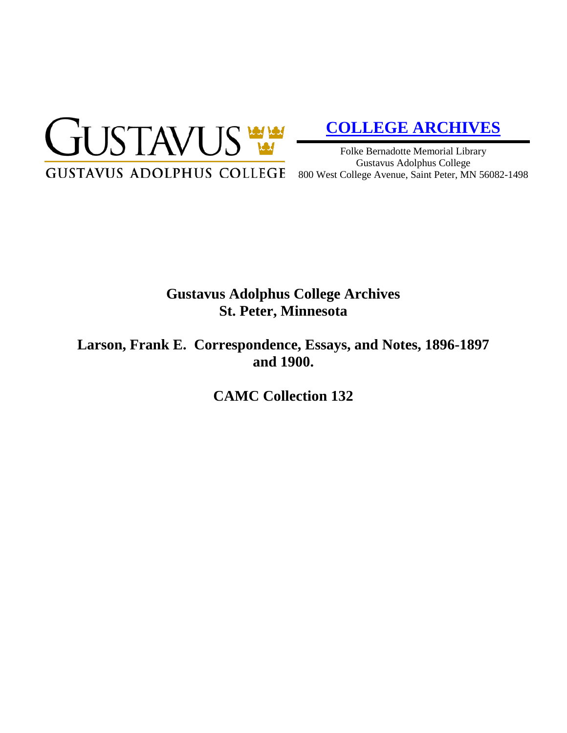

# **[COLLEGE ARCHIVES](http://gustavus.edu/academics/library/archives/)**

Folke Bernadotte Memorial Library Gustavus Adolphus College 800 West College Avenue, Saint Peter, MN 56082-1498

## **Gustavus Adolphus College Archives St. Peter, Minnesota**

**Larson, Frank E. Correspondence, Essays, and Notes, 1896-1897 and 1900.**

**CAMC Collection 132**